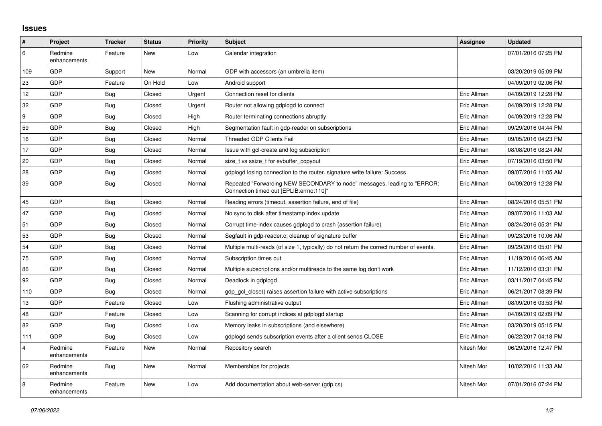## **Issues**

| #              | Project                 | <b>Tracker</b> | <b>Status</b> | Priority | <b>Subject</b>                                                                                                      | <b>Assignee</b> | <b>Updated</b>      |
|----------------|-------------------------|----------------|---------------|----------|---------------------------------------------------------------------------------------------------------------------|-----------------|---------------------|
| 6              | Redmine<br>enhancements | Feature        | New           | Low      | Calendar integration                                                                                                |                 | 07/01/2016 07:25 PM |
| 109            | GDP                     | Support        | New           | Normal   | GDP with accessors (an umbrella item)                                                                               |                 | 03/20/2019 05:09 PM |
| 23             | GDP                     | Feature        | On Hold       | Low      | Android support                                                                                                     |                 | 04/09/2019 02:06 PM |
| 12             | GDP                     | Bug            | Closed        | Urgent   | Connection reset for clients                                                                                        | Eric Allman     | 04/09/2019 12:28 PM |
| 32             | GDP                     | Bug            | Closed        | Urgent   | Router not allowing gdplogd to connect                                                                              | Eric Allman     | 04/09/2019 12:28 PM |
| l 9            | GDP                     | Bug            | Closed        | High     | Router terminating connections abruptly                                                                             | Eric Allman     | 04/09/2019 12:28 PM |
| 59             | GDP                     | Bug            | Closed        | High     | Segmentation fault in gdp-reader on subscriptions                                                                   | Eric Allman     | 09/29/2016 04:44 PM |
| 16             | GDP                     | <b>Bug</b>     | Closed        | Normal   | <b>Threaded GDP Clients Fail</b>                                                                                    | Eric Allman     | 09/05/2016 04:23 PM |
| 17             | GDP                     | Bug            | Closed        | Normal   | Issue with gcl-create and log subscription                                                                          | Eric Allman     | 08/08/2016 08:24 AM |
| 20             | GDP                     | Bug            | Closed        | Normal   | size t vs ssize t for evbuffer copyout                                                                              | Eric Allman     | 07/19/2016 03:50 PM |
| 28             | GDP                     | Bug            | Closed        | Normal   | gdplogd losing connection to the router, signature write failure: Success                                           | Eric Allman     | 09/07/2016 11:05 AM |
| 39             | GDP                     | Bug            | Closed        | Normal   | Repeated "Forwarding NEW SECONDARY to node" messages, leading to "ERROR:<br>Connection timed out [EPLIB:errno:110]" | Eric Allman     | 04/09/2019 12:28 PM |
| 45             | GDP                     | Bug            | Closed        | Normal   | Reading errors (timeout, assertion failure, end of file)                                                            | Eric Allman     | 08/24/2016 05:51 PM |
| 47             | GDP                     | Bug            | Closed        | Normal   | No sync to disk after timestamp index update                                                                        | Eric Allman     | 09/07/2016 11:03 AM |
| 51             | GDP                     | Bug            | Closed        | Normal   | Corrupt time-index causes gdplogd to crash (assertion failure)                                                      | Eric Allman     | 08/24/2016 05:31 PM |
| 53             | GDP                     | Bug            | Closed        | Normal   | Segfault in gdp-reader.c; cleanup of signature buffer                                                               | Eric Allman     | 09/23/2016 10:06 AM |
| 54             | GDP                     | Bug            | Closed        | Normal   | Multiple multi-reads (of size 1, typically) do not return the correct number of events.                             | Eric Allman     | 09/29/2016 05:01 PM |
| 75             | GDP                     | Bug            | Closed        | Normal   | Subscription times out                                                                                              | Eric Allman     | 11/19/2016 06:45 AM |
| 86             | GDP                     | Bug            | Closed        | Normal   | Multiple subscriptions and/or multireads to the same log don't work                                                 | Eric Allman     | 11/12/2016 03:31 PM |
| 92             | GDP                     | Bug            | Closed        | Normal   | Deadlock in gdplogd                                                                                                 | Eric Allman     | 03/11/2017 04:45 PM |
| 110            | GDP                     | Bug            | Closed        | Normal   | gdp gcl close() raises assertion failure with active subscriptions                                                  | Eric Allman     | 06/21/2017 08:39 PM |
| 13             | GDP                     | Feature        | Closed        | Low      | Flushing administrative output                                                                                      | Eric Allman     | 08/09/2016 03:53 PM |
| 48             | GDP                     | Feature        | Closed        | Low      | Scanning for corrupt indices at gdplogd startup                                                                     | Eric Allman     | 04/09/2019 02:09 PM |
| 82             | GDP                     | Bug            | Closed        | Low      | Memory leaks in subscriptions (and elsewhere)                                                                       | Eric Allman     | 03/20/2019 05:15 PM |
| 111            | GDP                     | Bug            | Closed        | Low      | gdplogd sends subscription events after a client sends CLOSE                                                        | Eric Allman     | 06/22/2017 04:18 PM |
| $\overline{4}$ | Redmine<br>enhancements | Feature        | New           | Normal   | Repository search                                                                                                   | Nitesh Mor      | 06/29/2016 12:47 PM |
| 62             | Redmine<br>enhancements | <b>Bug</b>     | New           | Normal   | Memberships for projects                                                                                            | Nitesh Mor      | 10/02/2016 11:33 AM |
| 8              | Redmine<br>enhancements | Feature        | New           | Low      | Add documentation about web-server (gdp.cs)                                                                         | Nitesh Mor      | 07/01/2016 07:24 PM |